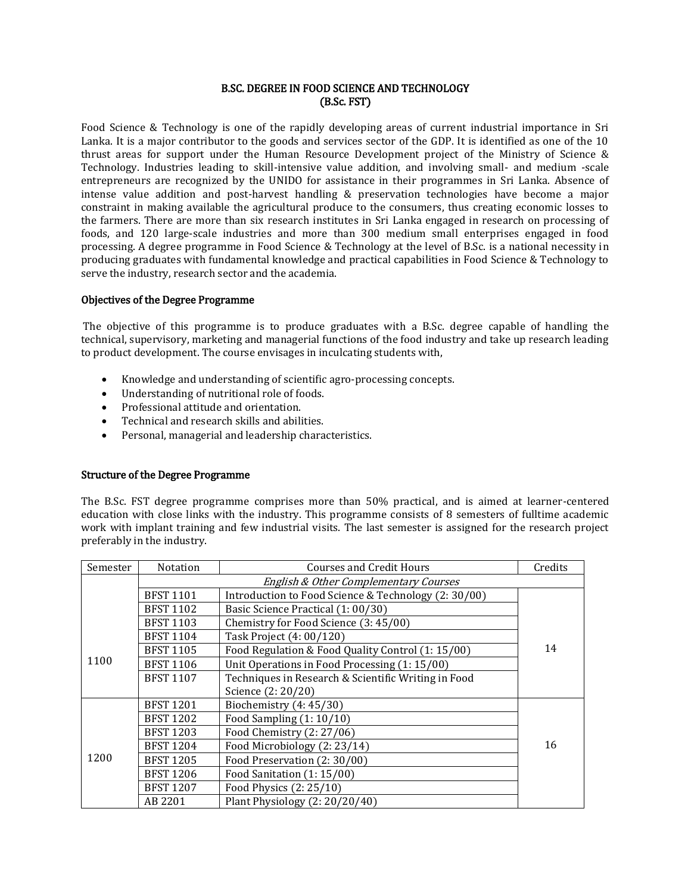## B.SC. DEGREE IN FOOD SCIENCE AND TECHNOLOGY (B.Sc. FST)

Food Science & Technology is one of the rapidly developing areas of current industrial importance in Sri Lanka. It is a major contributor to the goods and services sector of the GDP. It is identified as one of the 10 thrust areas for support under the Human Resource Development project of the Ministry of Science & Technology. Industries leading to skill-intensive value addition, and involving small- and medium -scale entrepreneurs are recognized by the UNIDO for assistance in their programmes in Sri Lanka. Absence of intense value addition and post-harvest handling & preservation technologies have become a major constraint in making available the agricultural produce to the consumers, thus creating economic losses to the farmers. There are more than six research institutes in Sri Lanka engaged in research on processing of foods, and 120 large-scale industries and more than 300 medium small enterprises engaged in food processing. A degree programme in Food Science & Technology at the level of B.Sc. is a national necessity in producing graduates with fundamental knowledge and practical capabilities in Food Science & Technology to serve the industry, research sector and the academia.

## Objectives of the Degree Programme

The objective of this programme is to produce graduates with a B.Sc. degree capable of handling the technical, supervisory, marketing and managerial functions of the food industry and take up research leading to product development. The course envisages in inculcating students with,

- Knowledge and understanding of scientific agro-processing concepts.
- Understanding of nutritional role of foods.
- Professional attitude and orientation.
- Technical and research skills and abilities.
- Personal, managerial and leadership characteristics.

## Structure of the Degree Programme

The B.Sc. FST degree programme comprises more than 50% practical, and is aimed at learner-centered education with close links with the industry. This programme consists of 8 semesters of fulltime academic work with implant training and few industrial visits. The last semester is assigned for the research project preferably in the industry.

| Semester | <b>Notation</b>                       | <b>Courses and Credit Hours</b>                      | Credits |  |
|----------|---------------------------------------|------------------------------------------------------|---------|--|
|          | English & Other Complementary Courses |                                                      |         |  |
|          | <b>BFST 1101</b>                      | Introduction to Food Science & Technology (2: 30/00) |         |  |
|          | <b>BFST 1102</b>                      | Basic Science Practical (1: 00/30)                   |         |  |
|          | <b>BFST 1103</b>                      | Chemistry for Food Science (3: 45/00)                |         |  |
| 1100     | <b>BFST 1104</b>                      | Task Project (4: 00/120)                             |         |  |
|          | <b>BFST 1105</b>                      | Food Regulation & Food Quality Control (1: 15/00)    | 14      |  |
|          | <b>BFST 1106</b>                      | Unit Operations in Food Processing (1:15/00)         |         |  |
|          | <b>BFST 1107</b>                      | Techniques in Research & Scientific Writing in Food  |         |  |
|          |                                       | Science (2: 20/20)                                   |         |  |
| 1200     | <b>BFST 1201</b>                      | Biochemistry (4: 45/30)                              |         |  |
|          | <b>BFST 1202</b>                      | Food Sampling $(1:10/10)$                            |         |  |
|          | <b>BFST 1203</b>                      | Food Chemistry (2: 27/06)                            |         |  |
|          | <b>BFST 1204</b>                      | Food Microbiology (2: 23/14)                         | 16      |  |
|          | <b>BFST 1205</b>                      | Food Preservation (2:30/00)                          |         |  |
|          | <b>BFST 1206</b>                      | Food Sanitation (1:15/00)                            |         |  |
|          | <b>BFST 1207</b>                      | Food Physics (2: 25/10)                              |         |  |
|          | AB 2201                               | Plant Physiology (2: 20/20/40)                       |         |  |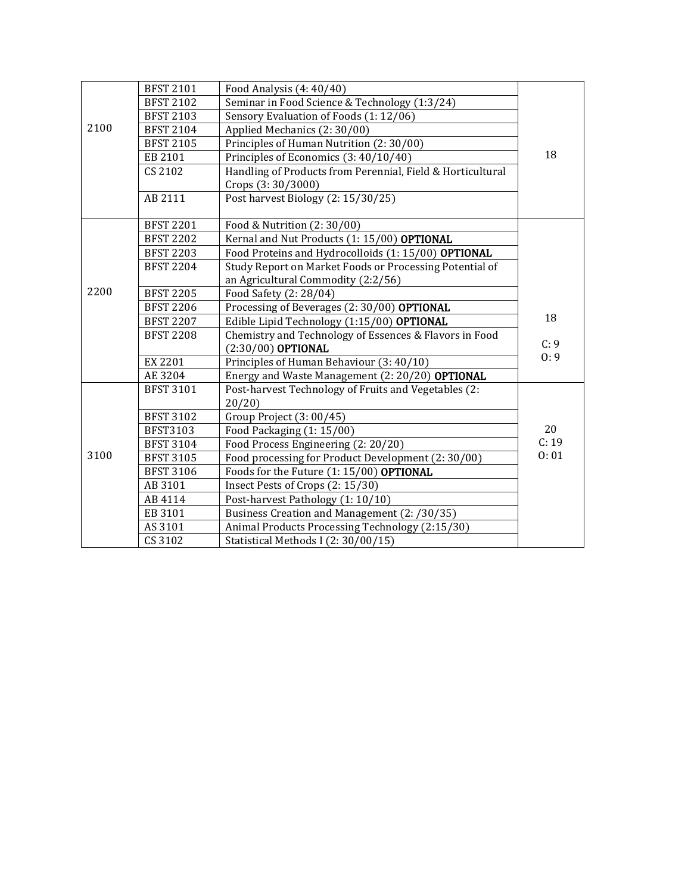| 2100 | <b>BFST 2101</b> | Food Analysis (4: 40/40)                                   |       |
|------|------------------|------------------------------------------------------------|-------|
|      | <b>BFST 2102</b> | Seminar in Food Science & Technology (1:3/24)              |       |
|      | <b>BFST 2103</b> | Sensory Evaluation of Foods (1:12/06)                      |       |
|      | <b>BFST 2104</b> | Applied Mechanics (2:30/00)                                |       |
|      | <b>BFST 2105</b> | Principles of Human Nutrition (2: 30/00)                   |       |
|      | EB 2101          | Principles of Economics (3: 40/10/40)                      | 18    |
|      | CS 2102          | Handling of Products from Perennial, Field & Horticultural |       |
|      |                  | Crops (3:30/3000)                                          |       |
|      | AB 2111          | Post harvest Biology (2: 15/30/25)                         |       |
|      |                  |                                                            |       |
|      | <b>BFST 2201</b> | Food & Nutrition (2:30/00)                                 |       |
|      | <b>BFST 2202</b> | Kernal and Nut Products (1:15/00) OPTIONAL                 |       |
|      | <b>BFST 2203</b> | Food Proteins and Hydrocolloids (1:15/00) OPTIONAL         |       |
|      | <b>BFST 2204</b> | Study Report on Market Foods or Processing Potential of    |       |
|      |                  | an Agricultural Commodity (2:2/56)                         |       |
| 2200 | <b>BFST 2205</b> | Food Safety (2: 28/04)                                     |       |
|      | <b>BFST 2206</b> | Processing of Beverages (2: 30/00) OPTIONAL                |       |
|      | <b>BFST 2207</b> | Edible Lipid Technology (1:15/00) OPTIONAL                 | 18    |
|      | <b>BFST 2208</b> | Chemistry and Technology of Essences & Flavors in Food     |       |
|      |                  | (2:30/00) OPTIONAL                                         | C: 9  |
|      | EX 2201          | Principles of Human Behaviour (3: 40/10)                   | 0:9   |
|      | AE 3204          | Energy and Waste Management (2: 20/20) OPTIONAL            |       |
|      | <b>BFST 3101</b> | Post-harvest Technology of Fruits and Vegetables (2:       |       |
| 3100 |                  | 20/20                                                      |       |
|      | <b>BFST 3102</b> | Group Project (3: 00/45)                                   |       |
|      | <b>BFST3103</b>  | Food Packaging (1: 15/00)                                  | 20    |
|      | <b>BFST 3104</b> | Food Process Engineering (2: 20/20)                        | C: 19 |
|      | <b>BFST 3105</b> | Food processing for Product Development (2:30/00)          | 0:01  |
|      | <b>BFST 3106</b> | Foods for the Future (1: 15/00) OPTIONAL                   |       |
|      | AB 3101          | Insect Pests of Crops (2: 15/30)                           |       |
|      | AB 4114          | Post-harvest Pathology (1:10/10)                           |       |
|      | EB 3101          | Business Creation and Management (2: /30/35)               |       |
|      | AS 3101          | Animal Products Processing Technology (2:15/30)            |       |
|      | CS 3102          | Statistical Methods I (2:30/00/15)                         |       |